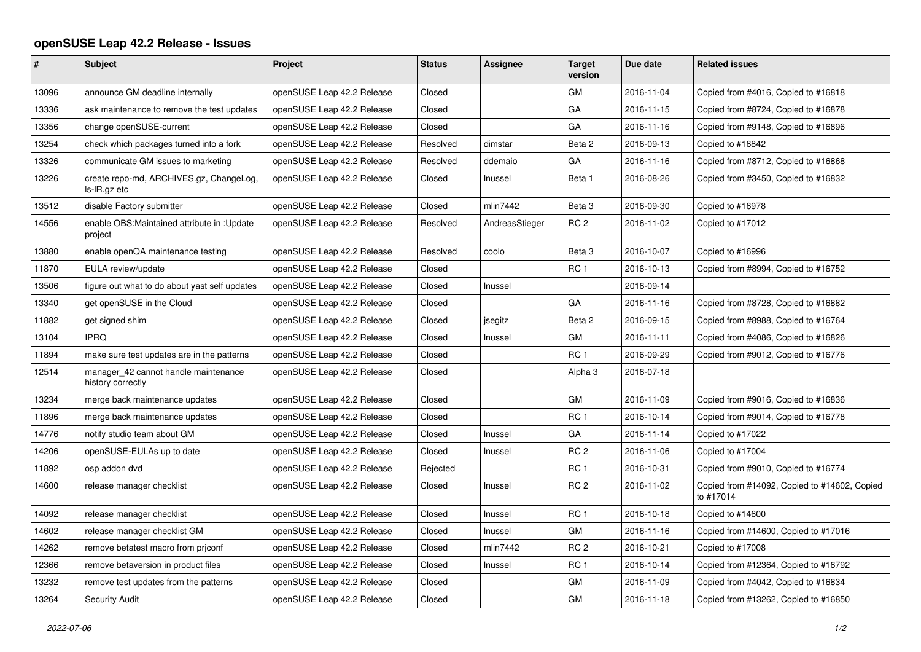## **openSUSE Leap 42.2 Release - Issues**

| $\vert$ # | <b>Subject</b>                                            | <b>Project</b>             | <b>Status</b> | Assignee       | <b>Target</b><br>version | Due date   | <b>Related issues</b>                                     |
|-----------|-----------------------------------------------------------|----------------------------|---------------|----------------|--------------------------|------------|-----------------------------------------------------------|
| 13096     | announce GM deadline internally                           | openSUSE Leap 42.2 Release | Closed        |                | GM                       | 2016-11-04 | Copied from #4016, Copied to #16818                       |
| 13336     | ask maintenance to remove the test updates                | openSUSE Leap 42.2 Release | Closed        |                | GA                       | 2016-11-15 | Copied from #8724, Copied to #16878                       |
| 13356     | change openSUSE-current                                   | openSUSE Leap 42.2 Release | Closed        |                | GA                       | 2016-11-16 | Copied from #9148, Copied to #16896                       |
| 13254     | check which packages turned into a fork                   | openSUSE Leap 42.2 Release | Resolved      | dimstar        | Beta 2                   | 2016-09-13 | Copied to #16842                                          |
| 13326     | communicate GM issues to marketing                        | openSUSE Leap 42.2 Release | Resolved      | ddemaio        | GA                       | 2016-11-16 | Copied from #8712, Copied to #16868                       |
| 13226     | create repo-md, ARCHIVES.gz, ChangeLog,<br>ls-IR.gz etc   | openSUSE Leap 42.2 Release | Closed        | Inussel        | Beta 1                   | 2016-08-26 | Copied from #3450, Copied to #16832                       |
| 13512     | disable Factory submitter                                 | openSUSE Leap 42.2 Release | Closed        | mlin7442       | Beta 3                   | 2016-09-30 | Copied to #16978                                          |
| 14556     | enable OBS: Maintained attribute in: Update<br>project    | openSUSE Leap 42.2 Release | Resolved      | AndreasStieger | RC <sub>2</sub>          | 2016-11-02 | Copied to #17012                                          |
| 13880     | enable openQA maintenance testing                         | openSUSE Leap 42.2 Release | Resolved      | coolo          | Beta <sub>3</sub>        | 2016-10-07 | Copied to #16996                                          |
| 11870     | EULA review/update                                        | openSUSE Leap 42.2 Release | Closed        |                | RC <sub>1</sub>          | 2016-10-13 | Copied from #8994, Copied to #16752                       |
| 13506     | figure out what to do about yast self updates             | openSUSE Leap 42.2 Release | Closed        | Inussel        |                          | 2016-09-14 |                                                           |
| 13340     | get openSUSE in the Cloud                                 | openSUSE Leap 42.2 Release | Closed        |                | GA                       | 2016-11-16 | Copied from #8728, Copied to #16882                       |
| 11882     | get signed shim                                           | openSUSE Leap 42.2 Release | Closed        | jsegitz        | Beta 2                   | 2016-09-15 | Copied from #8988, Copied to #16764                       |
| 13104     | <b>IPRQ</b>                                               | openSUSE Leap 42.2 Release | Closed        | Inussel        | <b>GM</b>                | 2016-11-11 | Copied from #4086, Copied to #16826                       |
| 11894     | make sure test updates are in the patterns                | openSUSE Leap 42.2 Release | Closed        |                | RC <sub>1</sub>          | 2016-09-29 | Copied from #9012, Copied to #16776                       |
| 12514     | manager_42 cannot handle maintenance<br>history correctly | openSUSE Leap 42.2 Release | Closed        |                | Alpha 3                  | 2016-07-18 |                                                           |
| 13234     | merge back maintenance updates                            | openSUSE Leap 42.2 Release | Closed        |                | GM                       | 2016-11-09 | Copied from #9016, Copied to #16836                       |
| 11896     | merge back maintenance updates                            | openSUSE Leap 42.2 Release | Closed        |                | RC <sub>1</sub>          | 2016-10-14 | Copied from #9014, Copied to #16778                       |
| 14776     | notify studio team about GM                               | openSUSE Leap 42.2 Release | Closed        | Inussel        | GA                       | 2016-11-14 | Copied to #17022                                          |
| 14206     | openSUSE-EULAs up to date                                 | openSUSE Leap 42.2 Release | Closed        | Inussel        | RC <sub>2</sub>          | 2016-11-06 | Copied to #17004                                          |
| 11892     | osp addon dvd                                             | openSUSE Leap 42.2 Release | Rejected      |                | RC <sub>1</sub>          | 2016-10-31 | Copied from #9010, Copied to #16774                       |
| 14600     | release manager checklist                                 | openSUSE Leap 42.2 Release | Closed        | Inussel        | RC <sub>2</sub>          | 2016-11-02 | Copied from #14092, Copied to #14602, Copied<br>to #17014 |
| 14092     | release manager checklist                                 | openSUSE Leap 42.2 Release | Closed        | Inussel        | RC <sub>1</sub>          | 2016-10-18 | Copied to #14600                                          |
| 14602     | release manager checklist GM                              | openSUSE Leap 42.2 Release | Closed        | Inussel        | GM                       | 2016-11-16 | Copied from #14600, Copied to #17016                      |
| 14262     | remove betatest macro from priconf                        | openSUSE Leap 42.2 Release | Closed        | mlin7442       | RC <sub>2</sub>          | 2016-10-21 | Copied to #17008                                          |
| 12366     | remove betaversion in product files                       | openSUSE Leap 42.2 Release | Closed        | Inussel        | RC <sub>1</sub>          | 2016-10-14 | Copied from #12364, Copied to #16792                      |
| 13232     | remove test updates from the patterns                     | openSUSE Leap 42.2 Release | Closed        |                | GM                       | 2016-11-09 | Copied from #4042, Copied to #16834                       |
| 13264     | <b>Security Audit</b>                                     | openSUSE Leap 42.2 Release | Closed        |                | GM                       | 2016-11-18 | Copied from #13262, Copied to #16850                      |